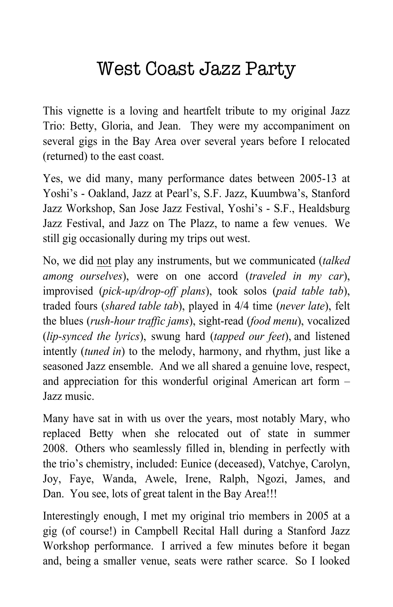## West Coast Jazz Party

This vignette is a loving and heartfelt tribute to my original Jazz Trio: Betty, Gloria, and Jean. They were my accompaniment on several gigs in the Bay Area over several years before I relocated (returned) to the east coast.

Yes, we did many, many performance dates between 2005-13 at Yoshi's - Oakland, Jazz at Pearl's, S.F. Jazz, Kuumbwa's, Stanford Jazz Workshop, San Jose Jazz Festival, Yoshi's - S.F., Healdsburg Jazz Festival, and Jazz on The Plazz, to name a few venues. We still gig occasionally during my trips out west.

No, we did not play any instruments, but we communicated (*talked among ourselves*), were on one accord (*traveled in my car*), improvised (*pick-up/drop-off plans*), took solos (*paid table tab*), traded fours (*shared table tab*), played in 4/4 time (*never late*), felt the blues (*rush-hour traffic jams*), sight-read (*food menu*), vocalized (*lip-synced the lyrics*), swung hard (*tapped our feet*), and listened intently (*tuned in*) to the melody, harmony, and rhythm, just like a seasoned Jazz ensemble. And we all shared a genuine love, respect, and appreciation for this wonderful original American art form – Jazz music.

Many have sat in with us over the years, most notably Mary, who replaced Betty when she relocated out of state in summer 2008. Others who seamlessly filled in, blending in perfectly with the trio's chemistry, included: Eunice (deceased), Vatchye, Carolyn, Joy, Faye, Wanda, Awele, Irene, Ralph, Ngozi, James, and Dan. You see, lots of great talent in the Bay Area!!!

Interestingly enough, I met my original trio members in 2005 at a gig (of course!) in Campbell Recital Hall during a Stanford Jazz Workshop performance. I arrived a few minutes before it began and, being a smaller venue, seats were rather scarce. So I looked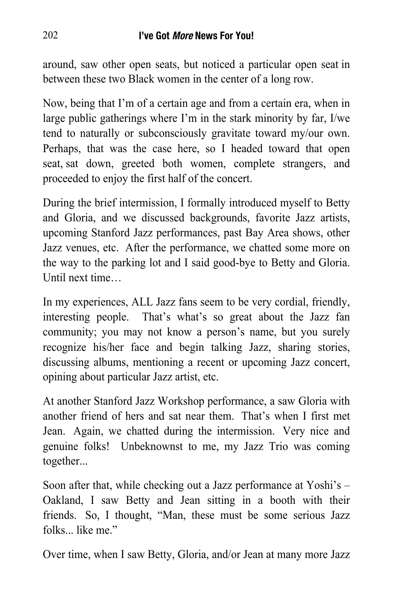around, saw other open seats, but noticed a particular open seat in between these two Black women in the center of a long row.

Now, being that I'm of a certain age and from a certain era, when in large public gatherings where I'm in the stark minority by far, I/we tend to naturally or subconsciously gravitate toward my/our own. Perhaps, that was the case here, so I headed toward that open seat, sat down, greeted both women, complete strangers, and proceeded to enjoy the first half of the concert.

During the brief intermission, I formally introduced myself to Betty and Gloria, and we discussed backgrounds, favorite Jazz artists, upcoming Stanford Jazz performances, past Bay Area shows, other Jazz venues, etc. After the performance, we chatted some more on the way to the parking lot and I said good-bye to Betty and Gloria. Until next time…

In my experiences, ALL Jazz fans seem to be very cordial, friendly, interesting people. That's what's so great about the Jazz fan community; you may not know a person's name, but you surely recognize his/her face and begin talking Jazz, sharing stories, discussing albums, mentioning a recent or upcoming Jazz concert, opining about particular Jazz artist, etc.

At another Stanford Jazz Workshop performance, a saw Gloria with another friend of hers and sat near them. That's when I first met Jean. Again, we chatted during the intermission. Very nice and genuine folks! Unbeknownst to me, my Jazz Trio was coming together...

Soon after that, while checking out a Jazz performance at Yoshi's – Oakland, I saw Betty and Jean sitting in a booth with their friends. So, I thought, "Man, these must be some serious Jazz folks like me"

Over time, when I saw Betty, Gloria, and/or Jean at many more Jazz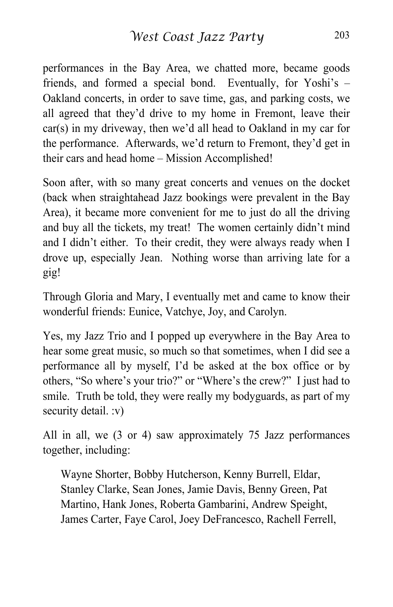performances in the Bay Area, we chatted more, became goods friends, and formed a special bond. Eventually, for Yoshi's – Oakland concerts, in order to save time, gas, and parking costs, we all agreed that they'd drive to my home in Fremont, leave their car(s) in my driveway, then we'd all head to Oakland in my car for the performance. Afterwards, we'd return to Fremont, they'd get in their cars and head home – Mission Accomplished!

Soon after, with so many great concerts and venues on the docket (back when straightahead Jazz bookings were prevalent in the Bay Area), it became more convenient for me to just do all the driving and buy all the tickets, my treat! The women certainly didn't mind and I didn't either. To their credit, they were always ready when I drove up, especially Jean. Nothing worse than arriving late for a gig!

Through Gloria and Mary, I eventually met and came to know their wonderful friends: Eunice, Vatchye, Joy, and Carolyn.

Yes, my Jazz Trio and I popped up everywhere in the Bay Area to hear some great music, so much so that sometimes, when I did see a performance all by myself, I'd be asked at the box office or by others, "So where's your trio?" or "Where's the crew?" I just had to smile. Truth be told, they were really my bodyguards, as part of my security detail. :v)

All in all, we (3 or 4) saw approximately 75 Jazz performances together, including:

Wayne Shorter, Bobby Hutcherson, Kenny Burrell, Eldar, Stanley Clarke, Sean Jones, Jamie Davis, Benny Green, Pat Martino, Hank Jones, Roberta Gambarini, Andrew Speight, James Carter, Faye Carol, Joey DeFrancesco, Rachell Ferrell,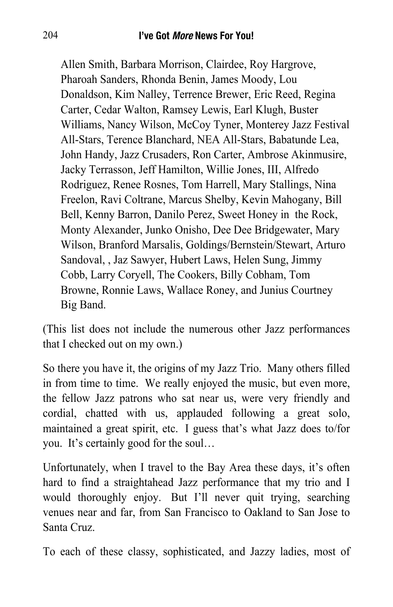Allen Smith, Barbara Morrison, Clairdee, Roy Hargrove, Pharoah Sanders, Rhonda Benin, James Moody, Lou Donaldson, Kim Nalley, Terrence Brewer, Eric Reed, Regina Carter, Cedar Walton, Ramsey Lewis, Earl Klugh, Buster Williams, Nancy Wilson, McCoy Tyner, Monterey Jazz Festival All-Stars, Terence Blanchard, NEA All-Stars, Babatunde Lea, John Handy, Jazz Crusaders, Ron Carter, Ambrose Akinmusire, Jacky Terrasson, Jeff Hamilton, Willie Jones, III, Alfredo Rodriguez, Renee Rosnes, Tom Harrell, Mary Stallings, Nina Freelon, Ravi Coltrane, Marcus Shelby, Kevin Mahogany, Bill Bell, Kenny Barron, Danilo Perez, Sweet Honey in the Rock, Monty Alexander, Junko Onisho, Dee Dee Bridgewater, Mary Wilson, Branford Marsalis, Goldings/Bernstein/Stewart, Arturo Sandoval, , Jaz Sawyer, Hubert Laws, Helen Sung, Jimmy Cobb, Larry Coryell, The Cookers, Billy Cobham, Tom Browne, Ronnie Laws, Wallace Roney, and Junius Courtney Big Band.

(This list does not include the numerous other Jazz performances that I checked out on my own.)

So there you have it, the origins of my Jazz Trio. Many others filled in from time to time. We really enjoyed the music, but even more, the fellow Jazz patrons who sat near us, were very friendly and cordial, chatted with us, applauded following a great solo, maintained a great spirit, etc. I guess that's what Jazz does to/for you. It's certainly good for the soul…

Unfortunately, when I travel to the Bay Area these days, it's often hard to find a straightahead Jazz performance that my trio and I would thoroughly enjoy. But I'll never quit trying, searching venues near and far, from San Francisco to Oakland to San Jose to Santa Cruz.

To each of these classy, sophisticated, and Jazzy ladies, most of